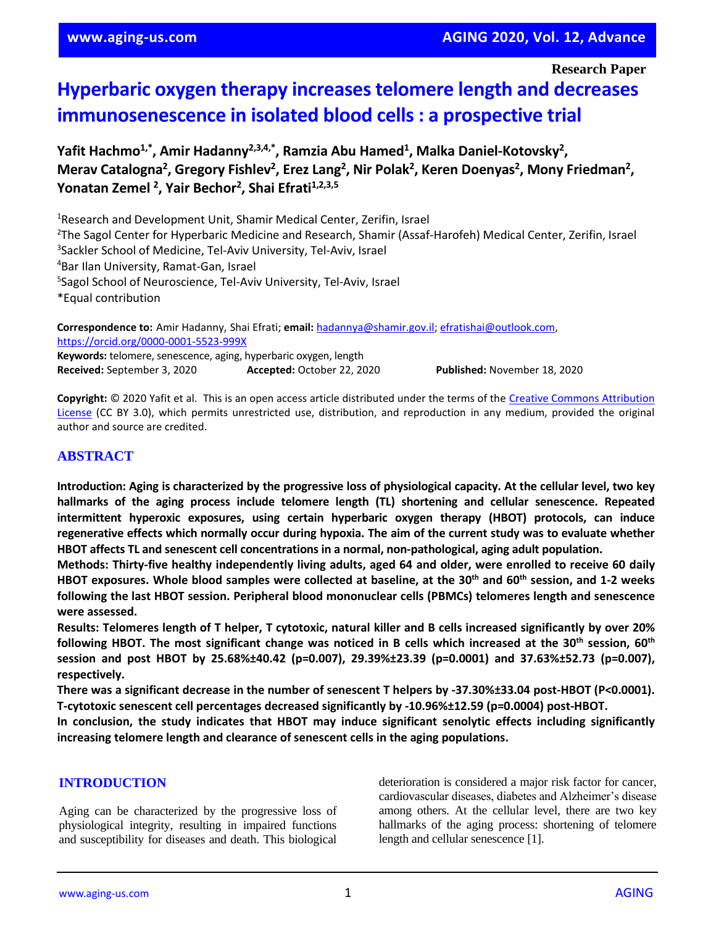**Research Paper**

# **Hyperbaric oxygen therapy increases telomere length and decreases immunosenescence in isolated blood cells : a prospective trial**

**Yafit Hachmo1,\* , Amir Hadanny2,3,4,\* , Ramzia Abu Hamed<sup>1</sup> , Malka Daniel-Kotovsky<sup>2</sup> , Merav Catalogna<sup>2</sup> , Gregory Fishlev<sup>2</sup> , Erez Lang<sup>2</sup> , Nir Polak<sup>2</sup> , Keren Doenyas<sup>2</sup> , Mony Friedman<sup>2</sup> , Yonatan Zemel <sup>2</sup> , Yair Bechor<sup>2</sup> , Shai Efrati1,2,3,5**

Research and Development Unit, Shamir Medical Center, Zerifin, Israel <sup>2</sup>The Sagol Center for Hyperbaric Medicine and Research, Shamir (Assaf-Harofeh) Medical Center, Zerifin, Israel Sackler School of Medicine, Tel-Aviv University, Tel-Aviv, Israel Bar Ilan University, Ramat-Gan, Israel Sagol School of Neuroscience, Tel-Aviv University, Tel-Aviv, Israel \*Equal contribution

**Correspondence to:** Amir Hadanny, Shai Efrati; **email:** [hadannya@shamir.gov.il;](mailto:hadannya@shamir.gov.il) [efratishai@outlook.com,](mailto:efratishai@outlook.com) <https://orcid.org/0000-0001-5523-999X> **Keywords:** telomere, senescence, aging, hyperbaric oxygen, length **Received:** September 3, 2020 **Accepted:** October 22, 2020 **Published:** November 18, 2020

**Copyright:** © 2020 Yafit et al. This is an open access article distributed under the terms of the [Creative Commons Attribution](https://creativecommons.org/licenses/by/3.0/)  [License](https://creativecommons.org/licenses/by/3.0/) (CC BY 3.0), which permits unrestricted use, distribution, and reproduction in any medium, provided the original author and source are credited.

# **ABSTRACT**

Introduction: Aging is characterized by the progressive loss of physiological capacity. At the cellular level, two key **hallmarks of the aging process include telomere length (TL) shortening and cellular senescence. Repeated intermittent hyperoxic exposures, using certain hyperbaric oxygen therapy (HBOT) protocols, can induce** regenerative effects which normally occur during hypoxia. The aim of the current study was to evaluate whether **HBOT affects TL and senescent cell concentrations in a normal, non-pathological, aging adult population.**

**Methods: Thirty-five healthy independently living adults, aged 64 and older, were enrolled to receive 60 daily** HBOT exposures. Whole blood samples were collected at baseline, at the 30<sup>th</sup> and 60<sup>th</sup> session, and 1-2 weeks **following the last HBOT session. Peripheral blood mononuclear cells (PBMCs) telomeres length and senescence were assessed.**

Results: Telomeres length of T helper, T cytotoxic, natural killer and B cells increased significantly by over 20% following HBOT. The most significant change was noticed in B cells which increased at the 30<sup>th</sup> session, 60<sup>th</sup> **session and post HBOT by 25.68%±40.42 (p=0.007), 29.39%±23.39 (p=0.0001) and 37.63%±52.73 (p=0.007), respectively.**

**There was a significant decrease in the number of senescent T helpers by -37.30%±33.04 post-HBOT (P<0.0001). T-cytotoxic senescent cell percentages decreased significantly by -10.96%±12.59 (p=0.0004) post-HBOT.**

**In conclusion, the study indicates that HBOT may induce significant senolytic effects including significantly increasing telomere length and clearance of senescent cells in the aging populations.**

# **INTRODUCTION**

Aging can be characterized by the progressive loss of physiological integrity, resulting in impaired functions and susceptibility for diseases and death. This biological deterioration is considered a major risk factor for cancer, cardiovascular diseases, diabetes and Alzheimer's disease among others. At the cellular level, there are two key hallmarks of the aging process: shortening of telomere length and cellular senescence [1].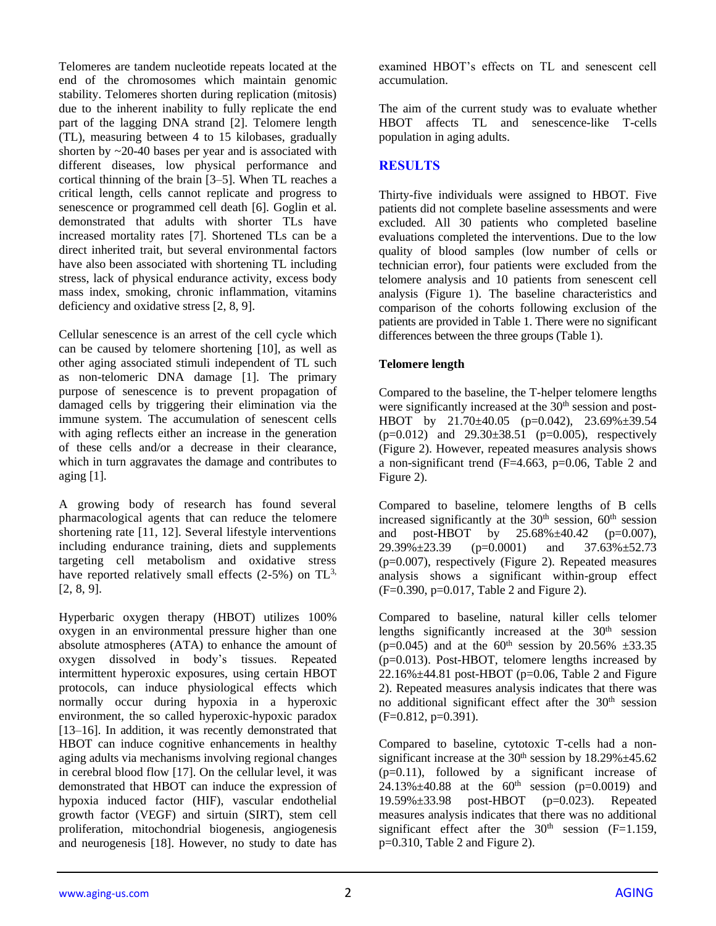Telomeres are tandem nucleotide repeats located at the end of the chromosomes which maintain genomic stability. Telomeres shorten during replication (mitosis) due to the inherent inability to fully replicate the end part of the lagging DNA strand [2]. Telomere length (TL), measuring between 4 to 15 kilobases, gradually shorten by  $\sim$ 20-40 bases per year and is associated with different diseases, low physical performance and cortical thinning of the brain [3–5]. When TL reaches a critical length, cells cannot replicate and progress to senescence or programmed cell death [6]. Goglin et al. demonstrated that adults with shorter TLs have increased mortality rates [7]. Shortened TLs can be a direct inherited trait, but several environmental factors have also been associated with shortening TL including stress, lack of physical endurance activity, excess body mass index, smoking, chronic inflammation, vitamins deficiency and oxidative stress [2, 8, 9].

Cellular senescence is an arrest of the cell cycle which can be caused by telomere shortening [10], as well as other aging associated stimuli independent of TL such as non-telomeric DNA damage [1]. The primary purpose of senescence is to prevent propagation of damaged cells by triggering their elimination via the immune system. The accumulation of senescent cells with aging reflects either an increase in the generation of these cells and/or a decrease in their clearance, which in turn aggravates the damage and contributes to aging [1].

A growing body of research has found several pharmacological agents that can reduce the telomere shortening rate [11, 12]. Several lifestyle interventions including endurance training, diets and supplements targeting cell metabolism and oxidative stress have reported relatively small effects  $(2-5%)$  on TL<sup>3,</sup> [2, 8, 9].

Hyperbaric oxygen therapy (HBOT) utilizes 100% oxygen in an environmental pressure higher than one absolute atmospheres (ATA) to enhance the amount of oxygen dissolved in body's tissues. Repeated intermittent hyperoxic exposures, using certain HBOT protocols, can induce physiological effects which normally occur during hypoxia in a hyperoxic environment, the so called hyperoxic-hypoxic paradox [13–16]. In addition, it was recently demonstrated that HBOT can induce cognitive enhancements in healthy aging adults via mechanisms involving regional changes in cerebral blood flow [17]. On the cellular level, it was demonstrated that HBOT can induce the expression of hypoxia induced factor (HIF), vascular endothelial growth factor (VEGF) and sirtuin (SIRT), stem cell proliferation, mitochondrial biogenesis, angiogenesis and neurogenesis [18]. However, no study to date has

examined HBOT's effects on TL and senescent cell accumulation.

The aim of the current study was to evaluate whether HBOT affects TL and senescence-like T-cells population in aging adults.

# **RESULTS**

Thirty-five individuals were assigned to HBOT. Five patients did not complete baseline assessments and were excluded. All 30 patients who completed baseline evaluations completed the interventions. Due to the low quality of blood samples (low number of cells or technician error), four patients were excluded from the telomere analysis and 10 patients from senescent cell analysis (Figure 1). The baseline characteristics and comparison of the cohorts following exclusion of the patients are provided in Table 1. There were no significant differences between the three groups (Table 1).

# **Telomere length**

Compared to the baseline, the T-helper telomere lengths were significantly increased at the 30<sup>th</sup> session and post-HBOT by 21.70±40.05 (p=0.042), 23.69%±39.54  $(p=0.012)$  and  $29.30\pm38.51$  ( $p=0.005$ ), respectively (Figure 2). However, repeated measures analysis shows a non-significant trend (F=4.663, p=0.06, Table 2 and Figure 2).

Compared to baseline, telomere lengths of B cells increased significantly at the  $30<sup>th</sup>$  session,  $60<sup>th</sup>$  session and post-HBOT by 25.68%±40.42 (p=0.007),  $29.39\% \pm 23.39$  (p=0.0001) and  $37.63\% \pm 52.73$ (p=0.007), respectively (Figure 2). Repeated measures analysis shows a significant within-group effect (F=0.390, p=0.017, Table 2 and Figure 2).

Compared to baseline, natural killer cells telomer lengths significantly increased at the  $30<sup>th</sup>$  session (p=0.045) and at the  $60^{th}$  session by 20.56%  $\pm$ 33.35 (p=0.013). Post-HBOT, telomere lengths increased by  $22.16\% \pm 44.81$  post-HBOT (p=0.06, Table 2 and Figure 2). Repeated measures analysis indicates that there was no additional significant effect after the 30<sup>th</sup> session  $(F=0.812, p=0.391)$ .

Compared to baseline, cytotoxic T-cells had a nonsignificant increase at the  $30<sup>th</sup>$  session by  $18.29\% \pm 45.62$ (p=0.11), followed by a significant increase of  $24.13\% \pm 40.88$  at the 60<sup>th</sup> session (p=0.0019) and 19.59%±33.98 post-HBOT (p=0.023). Repeated measures analysis indicates that there was no additional significant effect after the  $30<sup>th</sup>$  session (F=1.159, p=0.310, Table 2 and Figure 2).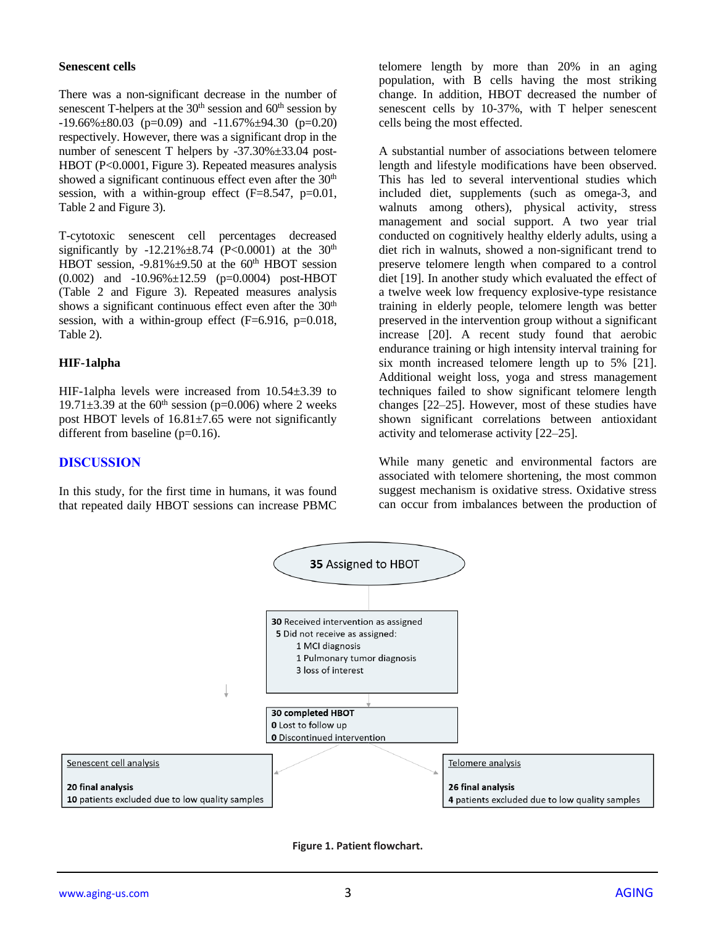#### **Senescent cells**

There was a non-significant decrease in the number of senescent T-helpers at the 30<sup>th</sup> session and 60<sup>th</sup> session by  $-19.66\% \pm 80.03$  (p=0.09) and  $-11.67\% \pm 94.30$  (p=0.20) respectively. However, there was a significant drop in the number of senescent T helpers by -37.30%±33.04 post-HBOT (P<0.0001, Figure 3). Repeated measures analysis showed a significant continuous effect even after the  $30<sup>th</sup>$ session, with a within-group effect (F=8.547, p=0.01, Table 2 and Figure 3).

T-cytotoxic senescent cell percentages decreased significantly by -12.21% $\pm$ 8.74 (P<0.0001) at the 30<sup>th</sup> HBOT session,  $-9.81\% \pm 9.50$  at the 60<sup>th</sup> HBOT session (0.002) and -10.96%±12.59 (p=0.0004) post-HBOT (Table 2 and Figure 3). Repeated measures analysis shows a significant continuous effect even after the 30<sup>th</sup> session, with a within-group effect  $(F=6.916, p=0.018,$ Table 2).

#### **HIF-1alpha**

HIF-1alpha levels were increased from 10.54±3.39 to 19.71 $\pm$ 3.39 at the 60<sup>th</sup> session (p=0.006) where 2 weeks post HBOT levels of  $16.81\pm7.65$  were not significantly different from baseline (p=0.16).

#### **DISCUSSION**

In this study, for the first time in humans, it was found that repeated daily HBOT sessions can increase PBMC telomere length by more than 20% in an aging population, with B cells having the most striking change. In addition, HBOT decreased the number of senescent cells by 10-37%, with T helper senescent cells being the most effected.

A substantial number of associations between telomere length and lifestyle modifications have been observed. This has led to several interventional studies which included diet, supplements (such as omega-3, and walnuts among others), physical activity, stress management and social support. A two year trial conducted on cognitively healthy elderly adults, using a diet rich in walnuts, showed a non-significant trend to preserve telomere length when compared to a control diet [19]. In another study which evaluated the effect of a twelve week low frequency explosive-type resistance training in elderly people, telomere length was better preserved in the intervention group without a significant increase [20]. A recent study found that aerobic endurance training or high intensity interval training for six month increased telomere length up to 5% [21]. Additional weight loss, yoga and stress management techniques failed to show significant telomere length changes [22–25]. However, most of these studies have shown significant correlations between antioxidant activity and telomerase activity [22–25].

While many genetic and environmental factors are associated with telomere shortening, the most common suggest mechanism is oxidative stress. Oxidative stress can occur from imbalances between the production of



**Figure 1. Patient flowchart.**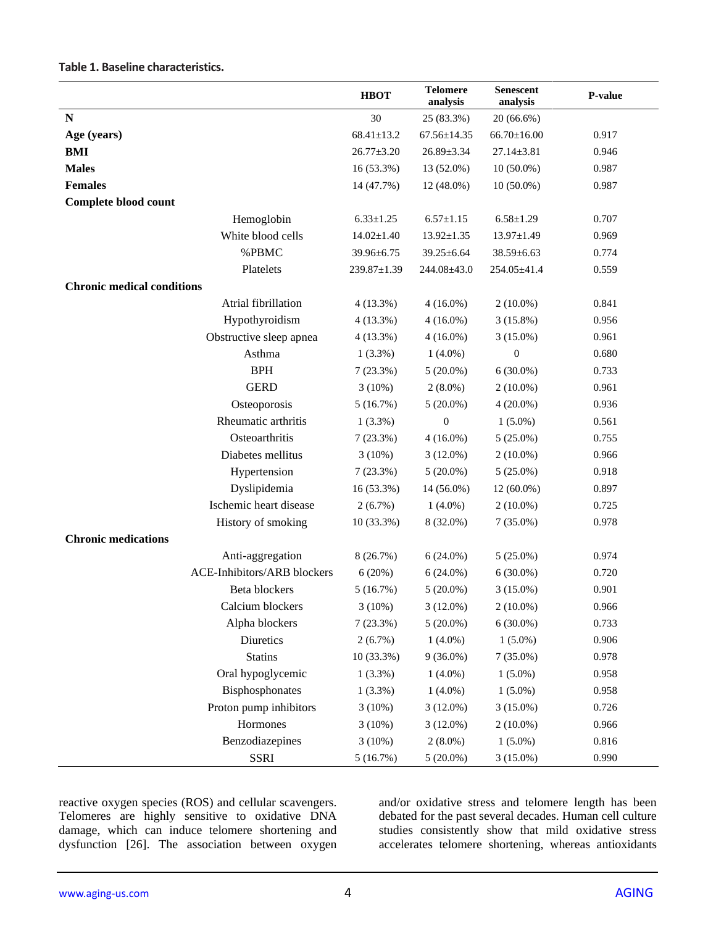|                                   |                                    | <b>HBOT</b>      | <b>Telomere</b><br>analysis | <b>Senescent</b><br>analysis | P-value |
|-----------------------------------|------------------------------------|------------------|-----------------------------|------------------------------|---------|
| N                                 |                                    | 30               | 25 (83.3%)                  | 20 (66.6%)                   |         |
| Age (years)                       |                                    | $68.41 \pm 13.2$ | $67.56 \pm 14.35$           | $66.70 \pm 16.00$            | 0.917   |
| <b>BMI</b>                        |                                    | $26.77 \pm 3.20$ | 26.89±3.34                  | $27.14 \pm 3.81$             | 0.946   |
| <b>Males</b>                      |                                    | 16 (53.3%)       | 13 (52.0%)                  | $10(50.0\%)$                 | 0.987   |
| <b>Females</b>                    |                                    | 14 (47.7%)       | 12 (48.0%)                  | $10(50.0\%)$                 | 0.987   |
| Complete blood count              |                                    |                  |                             |                              |         |
|                                   | Hemoglobin                         | $6.33 \pm 1.25$  | $6.57 \pm 1.15$             | $6.58 \pm 1.29$              | 0.707   |
|                                   | White blood cells                  | $14.02 \pm 1.40$ | $13.92 \pm 1.35$            | $13.97 \pm 1.49$             | 0.969   |
|                                   | %PBMC                              | 39.96±6.75       | $39.25 \pm 6.64$            | $38.59 \pm 6.63$             | 0.774   |
|                                   | Platelets                          | 239.87±1.39      | 244.08±43.0                 | 254.05±41.4                  | 0.559   |
| <b>Chronic medical conditions</b> |                                    |                  |                             |                              |         |
|                                   | Atrial fibrillation                | 4(13.3%)         | $4(16.0\%)$                 | $2(10.0\%)$                  | 0.841   |
|                                   | Hypothyroidism                     | $4(13.3\%)$      | $4(16.0\%)$                 | 3(15.8%)                     | 0.956   |
|                                   | Obstructive sleep apnea            | $4(13.3\%)$      | $4(16.0\%)$                 | $3(15.0\%)$                  | 0.961   |
|                                   | Asthma                             | $1(3.3\%)$       | $1(4.0\%)$                  | $\overline{0}$               | 0.680   |
|                                   | <b>BPH</b>                         | 7(23.3%)         | $5(20.0\%)$                 | $6(30.0\%)$                  | 0.733   |
|                                   | <b>GERD</b>                        | $3(10\%)$        | $2(8.0\%)$                  | $2(10.0\%)$                  | 0.961   |
|                                   | Osteoporosis                       | 5(16.7%)         | $5(20.0\%)$                 | $4(20.0\%)$                  | 0.936   |
|                                   | Rheumatic arthritis                | $1(3.3\%)$       | $\boldsymbol{0}$            | $1(5.0\%)$                   | 0.561   |
|                                   | Osteoarthritis                     | 7(23.3%)         | $4(16.0\%)$                 | $5(25.0\%)$                  | 0.755   |
|                                   | Diabetes mellitus                  | $3(10\%)$        | $3(12.0\%)$                 | $2(10.0\%)$                  | 0.966   |
|                                   | Hypertension                       | 7(23.3%)         | $5(20.0\%)$                 | $5(25.0\%)$                  | 0.918   |
|                                   | Dyslipidemia                       | 16 (53.3%)       | 14 (56.0%)                  | 12 (60.0%)                   | 0.897   |
|                                   | Ischemic heart disease             | 2(6.7%)          | $1(4.0\%)$                  | $2(10.0\%)$                  | 0.725   |
|                                   | History of smoking                 | 10 (33.3%)       | 8 (32.0%)                   | $7(35.0\%)$                  | 0.978   |
| <b>Chronic medications</b>        |                                    |                  |                             |                              |         |
|                                   | Anti-aggregation                   | 8 (26.7%)        | $6(24.0\%)$                 | $5(25.0\%)$                  | 0.974   |
|                                   | <b>ACE-Inhibitors/ARB blockers</b> | 6(20%)           | $6(24.0\%)$                 | $6(30.0\%)$                  | 0.720   |
|                                   | Beta blockers                      | 5(16.7%)         | $5(20.0\%)$                 | $3(15.0\%)$                  | 0.901   |
|                                   | Calcium blockers                   | 3(10%)           | $3(12.0\%)$                 | $2(10.0\%)$                  | 0.966   |
|                                   | Alpha blockers                     | 7(23.3%)         | $5(20.0\%)$                 | $6(30.0\%)$                  | 0.733   |
|                                   | Diuretics                          | 2(6.7%)          | $1(4.0\%)$                  | $1(5.0\%)$                   | 0.906   |
|                                   | <b>Statins</b>                     | 10 (33.3%)       | $9(36.0\%)$                 | $7(35.0\%)$                  | 0.978   |
|                                   | Oral hypoglycemic                  | 1(3.3%)          | $1(4.0\%)$                  | $1(5.0\%)$                   | 0.958   |
|                                   | Bisphosphonates                    | 1(3.3%)          | $1(4.0\%)$                  | $1(5.0\%)$                   | 0.958   |
|                                   | Proton pump inhibitors             | 3(10%)           | $3(12.0\%)$                 | $3(15.0\%)$                  | 0.726   |
|                                   | Hormones                           | 3(10%)           | $3(12.0\%)$                 | $2(10.0\%)$                  | 0.966   |
|                                   | Benzodiazepines                    | 3(10%)           | $2(8.0\%)$                  | $1(5.0\%)$                   | 0.816   |
|                                   | <b>SSRI</b>                        | 5(16.7%)         | $5(20.0\%)$                 | $3(15.0\%)$                  | 0.990   |

# **Table 1. Baseline characteristics.**

reactive oxygen species (ROS) and cellular scavengers. Telomeres are highly sensitive to oxidative DNA damage, which can induce telomere shortening and dysfunction [26]. The association between oxygen

and/or oxidative stress and telomere length has been debated for the past several decades. Human cell culture studies consistently show that mild oxidative stress accelerates telomere shortening, whereas antioxidants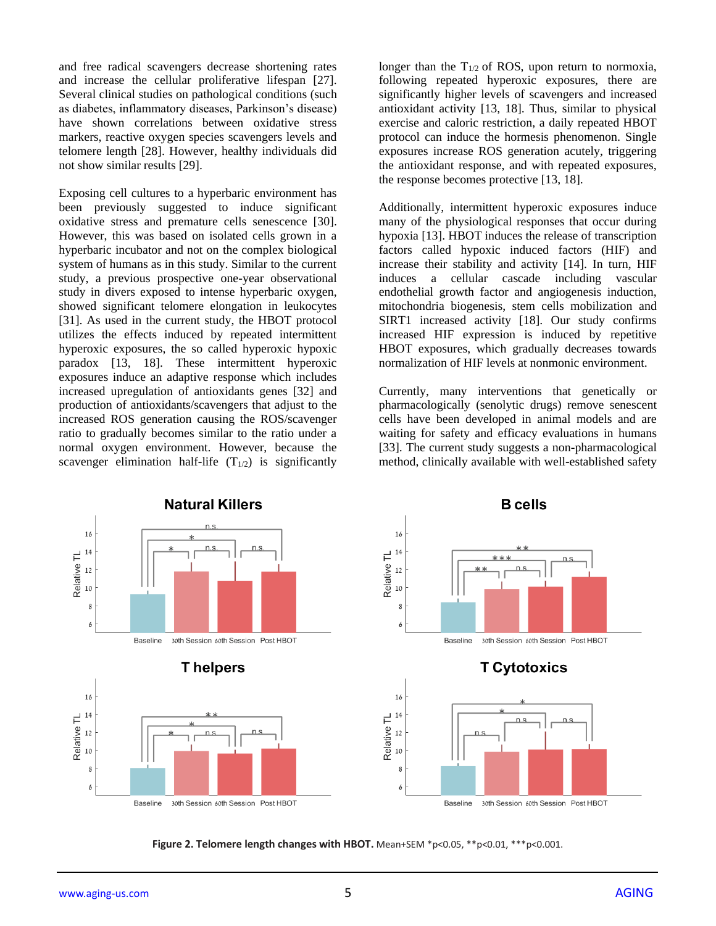and free radical scavengers decrease shortening rates and increase the cellular proliferative lifespan [27]. Several clinical studies on pathological conditions (such as diabetes, inflammatory diseases, Parkinson's disease) have shown correlations between oxidative stress markers, reactive oxygen species scavengers levels and telomere length [28]. However, healthy individuals did not show similar results [29].

Exposing cell cultures to a hyperbaric environment has been previously suggested to induce significant oxidative stress and premature cells senescence [30]. However, this was based on isolated cells grown in a hyperbaric incubator and not on the complex biological system of humans as in this study. Similar to the current study, a previous prospective one-year observational study in divers exposed to intense hyperbaric oxygen, showed significant telomere elongation in leukocytes [31]. As used in the current study, the HBOT protocol utilizes the effects induced by repeated intermittent hyperoxic exposures, the so called hyperoxic hypoxic paradox [13, 18]. These intermittent hyperoxic exposures induce an adaptive response which includes increased upregulation of antioxidants genes [32] and production of antioxidants/scavengers that adjust to the increased ROS generation causing the ROS/scavenger ratio to gradually becomes similar to the ratio under a normal oxygen environment. However, because the scavenger elimination half-life  $(T_{1/2})$  is significantly longer than the  $T_{1/2}$  of ROS, upon return to normoxia, following repeated hyperoxic exposures, there are significantly higher levels of scavengers and increased antioxidant activity [13, 18]. Thus, similar to physical exercise and caloric restriction, a daily repeated HBOT protocol can induce the hormesis phenomenon. Single exposures increase ROS generation acutely, triggering the antioxidant response, and with repeated exposures, the response becomes protective [13, 18].

Additionally, intermittent hyperoxic exposures induce many of the physiological responses that occur during hypoxia [13]. HBOT induces the release of transcription factors called hypoxic induced factors (HIF) and increase their stability and activity [14]. In turn, HIF induces a cellular cascade including vascular endothelial growth factor and angiogenesis induction, mitochondria biogenesis, stem cells mobilization and SIRT1 increased activity [18]. Our study confirms increased HIF expression is induced by repetitive HBOT exposures, which gradually decreases towards normalization of HIF levels at nonmonic environment.

Currently, many interventions that genetically or pharmacologically (senolytic drugs) remove senescent cells have been developed in animal models and are waiting for safety and efficacy evaluations in humans [33]. The current study suggests a non-pharmacological method, clinically available with well-established safety



**Figure 2. Telomere length changes with HBOT.** Mean+SEM \*p<0.05, \*\*p<0.01, \*\*\*p<0.001.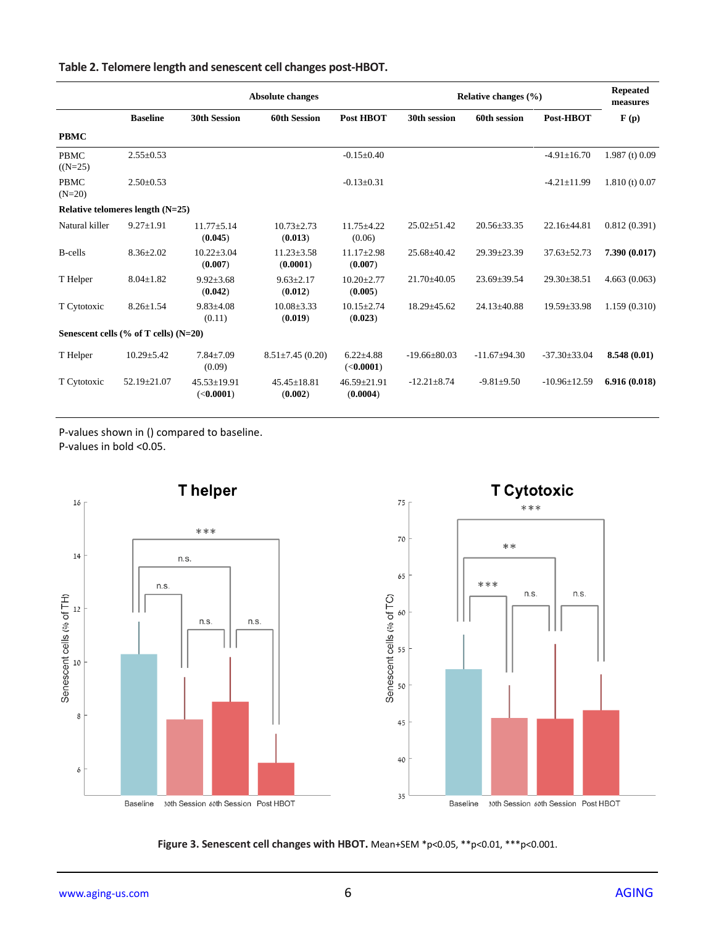## **Table 2. Telomere length and senescent cell changes post-HBOT.**

|                                          |                   | <b>Absolute changes</b>                |                              |                                      | Relative changes $(\% )$ |                   |                    | <b>Repeated</b><br>measures |  |  |  |
|------------------------------------------|-------------------|----------------------------------------|------------------------------|--------------------------------------|--------------------------|-------------------|--------------------|-----------------------------|--|--|--|
|                                          | <b>Baseline</b>   | <b>30th Session</b>                    | <b>60th Session</b>          | Post HBOT                            | 30th session             | 60th session      | Post-HBOT          | F(p)                        |  |  |  |
| <b>PBMC</b>                              |                   |                                        |                              |                                      |                          |                   |                    |                             |  |  |  |
| <b>PBMC</b><br>$(N=25)$                  | $2.55 \pm 0.53$   |                                        |                              | $-0.15 \pm 0.40$                     |                          |                   | $-4.91 \pm 16.70$  | $1.987$ (t) 0.09            |  |  |  |
| <b>PBMC</b><br>$(N=20)$                  | $2.50 \pm 0.53$   |                                        |                              | $-0.13 \pm 0.31$                     |                          |                   | $-4.21 \pm 11.99$  | $1.810$ (t) 0.07            |  |  |  |
| Relative telomeres length $(N=25)$       |                   |                                        |                              |                                      |                          |                   |                    |                             |  |  |  |
| Natural killer                           | $9.27 \pm 1.91$   | $11.77 + 5.14$<br>(0.045)              | $10.73 \pm 2.73$<br>(0.013)  | $11.75 \pm 4.22$<br>(0.06)           | $25.02 \pm 51.42$        | $20.56 \pm 33.35$ | $22.16 \pm 44.81$  | 0.812(0.391)                |  |  |  |
| <b>B</b> -cells                          | $8.36 \pm 2.02$   | $10.22 \pm 3.04$<br>(0.007)            | $11.23 \pm 3.58$<br>(0.0001) | $11.17 \pm 2.98$<br>(0.007)          | $25.68 + 40.42$          | $29.39 \pm 23.39$ | $37.63 \pm 52.73$  | 7.390 (0.017)               |  |  |  |
| T Helper                                 | $8.04 \pm 1.82$   | $9.92 \pm 3.68$<br>(0.042)             | $9.63 \pm 2.17$<br>(0.012)   | $10.20 \pm 2.77$<br>(0.005)          | $21.70 + 40.05$          | $23.69 \pm 39.54$ | $29.30 \pm 38.51$  | 4.663(0.063)                |  |  |  |
| T Cytotoxic                              | $8.26 \pm 1.54$   | $9.83{\pm}4.08$<br>(0.11)              | $10.08 \pm 3.33$<br>(0.019)  | $10.15 + 2.74$<br>(0.023)            | $18.29 \pm 45.62$        | $24.13 \pm 40.88$ | $19.59 \pm 33.98$  | 1.159(0.310)                |  |  |  |
| Senescent cells $(\%$ of T cells) (N=20) |                   |                                        |                              |                                      |                          |                   |                    |                             |  |  |  |
| T Helper                                 | $10.29 \pm 5.42$  | $7.84 \pm 7.09$<br>(0.09)              | $8.51 \pm 7.45(0.20)$        | $6.22{\pm}4.88$<br>( <b>0.0001</b> ) | $-19.66 \pm 80.03$       | $-11.67+94.30$    | $-37.30 \pm 33.04$ | 8.548 (0.01)                |  |  |  |
| T Cytotoxic                              | $52.19 \pm 21.07$ | $45.53 \pm 19.91$<br>( <b>0.0001</b> ) | $45.45 \pm 18.81$<br>(0.002) | $46.59 \pm 21.91$<br>(0.0004)        | $-12.21 \pm 8.74$        | $-9.81 + 9.50$    | $-10.96 \pm 12.59$ | 6.916(0.018)                |  |  |  |

P-values shown in () compared to baseline.

P-values in bold <0.05.



**Figure 3. Senescent cell changes with HBOT.** Mean+SEM \*p<0.05, \*\*p<0.01, \*\*\*p<0.001.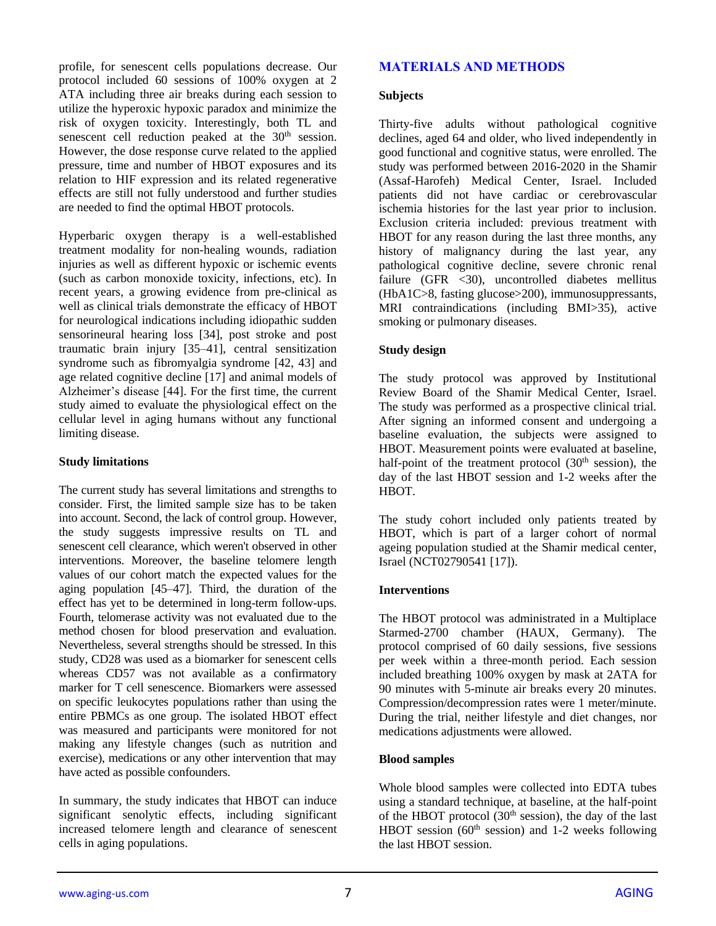profile, for senescent cells populations decrease. Our protocol included 60 sessions of 100% oxygen at 2 ATA including three air breaks during each session to utilize the hyperoxic hypoxic paradox and minimize the risk of oxygen toxicity. Interestingly, both TL and senescent cell reduction peaked at the 30<sup>th</sup> session. However, the dose response curve related to the applied pressure, time and number of HBOT exposures and its relation to HIF expression and its related regenerative effects are still not fully understood and further studies are needed to find the optimal HBOT protocols.

Hyperbaric oxygen therapy is a well-established treatment modality for non-healing wounds, radiation injuries as well as different hypoxic or ischemic events (such as carbon monoxide toxicity, infections, etc). In recent years, a growing evidence from pre-clinical as well as clinical trials demonstrate the efficacy of HBOT for neurological indications including idiopathic sudden sensorineural hearing loss [34], post stroke and post traumatic brain injury [35–41], central sensitization syndrome such as fibromyalgia syndrome [42, 43] and age related cognitive decline [17] and animal models of Alzheimer's disease [44]. For the first time, the current study aimed to evaluate the physiological effect on the cellular level in aging humans without any functional limiting disease.

#### **Study limitations**

The current study has several limitations and strengths to consider. First, the limited sample size has to be taken into account. Second, the lack of control group. However, the study suggests impressive results on TL and senescent cell clearance, which weren't observed in other interventions. Moreover, the baseline telomere length values of our cohort match the expected values for the aging population [45–47]. Third, the duration of the effect has yet to be determined in long-term follow-ups. Fourth, telomerase activity was not evaluated due to the method chosen for blood preservation and evaluation. Nevertheless, several strengths should be stressed. In this study, CD28 was used as a biomarker for senescent cells whereas CD57 was not available as a confirmatory marker for T cell senescence. Biomarkers were assessed on specific leukocytes populations rather than using the entire PBMCs as one group. The isolated HBOT effect was measured and participants were monitored for not making any lifestyle changes (such as nutrition and exercise), medications or any other intervention that may have acted as possible confounders.

In summary, the study indicates that HBOT can induce significant senolytic effects, including significant increased telomere length and clearance of senescent cells in aging populations.

## **MATERIALS AND METHODS**

#### **Subjects**

Thirty-five adults without pathological cognitive declines, aged 64 and older, who lived independently in good functional and cognitive status, were enrolled. The study was performed between 2016-2020 in the Shamir (Assaf-Harofeh) Medical Center, Israel. Included patients did not have cardiac or cerebrovascular ischemia histories for the last year prior to inclusion. Exclusion criteria included: previous treatment with HBOT for any reason during the last three months, any history of malignancy during the last year, any pathological cognitive decline, severe chronic renal failure (GFR <30), uncontrolled diabetes mellitus (HbA1C>8, fasting glucose>200), immunosuppressants, MRI contraindications (including BMI>35), active smoking or pulmonary diseases.

## **Study design**

The study protocol was approved by Institutional Review Board of the Shamir Medical Center, Israel. The study was performed as a prospective clinical trial. After signing an informed consent and undergoing a baseline evaluation, the subjects were assigned to HBOT. Measurement points were evaluated at baseline, half-point of the treatment protocol (30<sup>th</sup> session), the day of the last HBOT session and 1-2 weeks after the HBOT.

The study cohort included only patients treated by HBOT, which is part of a larger cohort of normal ageing population studied at the Shamir medical center, Israel (NCT02790541 [17]).

#### **Interventions**

The HBOT protocol was administrated in a Multiplace Starmed-2700 chamber (HAUX, Germany). The protocol comprised of 60 daily sessions, five sessions per week within a three-month period. Each session included breathing 100% oxygen by mask at 2ATA for 90 minutes with 5-minute air breaks every 20 minutes. Compression/decompression rates were 1 meter/minute. During the trial, neither lifestyle and diet changes, nor medications adjustments were allowed.

#### **Blood samples**

Whole blood samples were collected into EDTA tubes using a standard technique, at baseline, at the half-point of the HBOT protocol (30<sup>th</sup> session), the day of the last HBOT session ( $60<sup>th</sup>$  session) and 1-2 weeks following the last HBOT session.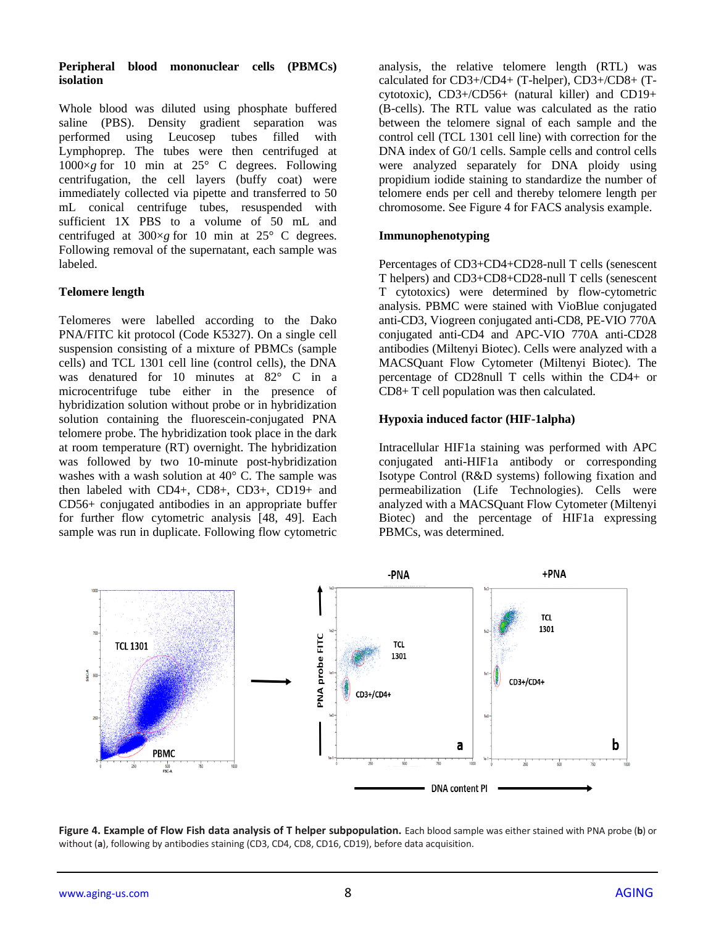## **Peripheral blood mononuclear cells (PBMCs) isolation**

Whole blood was diluted using phosphate buffered saline (PBS). Density gradient separation was performed using Leucosep tubes filled with Lymphoprep. The tubes were then centrifuged at  $1000 \times g$  for 10 min at 25 $\degree$  C degrees. Following centrifugation, the cell layers (buffy coat) were immediately collected via pipette and transferred to 50 mL conical centrifuge tubes, resuspended with sufficient 1X PBS to a volume of 50 mL and centrifuged at 300×*g* for 10 min at 25° C degrees. Following removal of the supernatant, each sample was labeled.

# **Telomere length**

Telomeres were labelled according to the Dako PNA/FITC kit protocol (Code K5327). On a single cell suspension consisting of a mixture of PBMCs (sample cells) and TCL 1301 cell line (control cells), the DNA was denatured for 10 minutes at 82° C in a microcentrifuge tube either in the presence of hybridization solution without probe or in hybridization solution containing the fluorescein-conjugated PNA telomere probe. The hybridization took place in the dark at room temperature (RT) overnight. The hybridization was followed by two 10-minute post-hybridization washes with a wash solution at 40° C. The sample was then labeled with CD4+, CD8+, CD3+, CD19+ and CD56+ conjugated antibodies in an appropriate buffer for further flow cytometric analysis [48, 49]. Each sample was run in duplicate. Following flow cytometric

analysis, the relative telomere length (RTL) was calculated for CD3+/CD4+ (T-helper), CD3+/CD8+ (Tcytotoxic), CD3+/CD56+ (natural killer) and CD19+ (B-cells). The RTL value was calculated as the ratio between the telomere signal of each sample and the control cell (TCL 1301 cell line) with correction for the DNA index of G0/1 cells. Sample cells and control cells were analyzed separately for DNA ploidy using propidium iodide staining to standardize the number of telomere ends per cell and thereby telomere length per chromosome. See Figure 4 for FACS analysis example.

## **Immunophenotyping**

Percentages of CD3+CD4+CD28-null T cells (senescent T helpers) and CD3+CD8+CD28-null T cells (senescent T cytotoxics) were determined by flow-cytometric analysis. PBMC were stained with VioBlue conjugated anti-CD3, Viogreen conjugated anti-CD8, PE-VIO 770A conjugated anti-CD4 and APC-VIO 770A anti-CD28 antibodies (Miltenyi Biotec). Cells were analyzed with a MACSQuant Flow Cytometer (Miltenyi Biotec). The percentage of CD28null T cells within the CD4+ or CD8+ T cell population was then calculated.

## **Hypoxia induced factor (HIF-1alpha)**

Intracellular HIF1a staining was performed with APC conjugated anti-HIF1a antibody or corresponding Isotype Control (R&D systems) following fixation and permeabilization (Life Technologies). Cells were analyzed with a MACSQuant Flow Cytometer (Miltenyi Biotec) and the percentage of HIF1a expressing PBMCs, was determined.



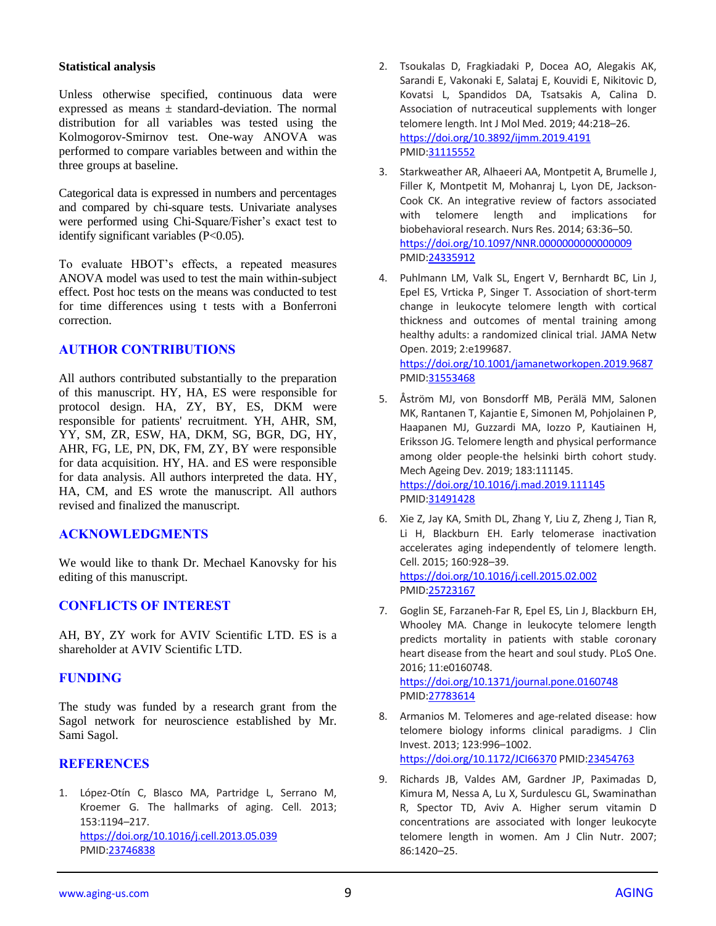### **Statistical analysis**

Unless otherwise specified, continuous data were expressed as means  $\pm$  standard-deviation. The normal distribution for all variables was tested using the Kolmogorov-Smirnov test. One-way ANOVA was performed to compare variables between and within the three groups at baseline.

Categorical data is expressed in numbers and percentages and compared by chi-square tests. Univariate analyses were performed using Chi-Square/Fisher's exact test to identify significant variables (P<0.05).

To evaluate HBOT's effects, a repeated measures ANOVA model was used to test the main within-subject effect. Post hoc tests on the means was conducted to test for time differences using t tests with a Bonferroni correction.

## **AUTHOR CONTRIBUTIONS**

All authors contributed substantially to the preparation of this manuscript. HY, HA, ES were responsible for protocol design. HA, ZY, BY, ES, DKM were responsible for patients' recruitment. YH, AHR, SM, YY, SM, ZR, ESW, HA, DKM, SG, BGR, DG, HY, AHR, FG, LE, PN, DK, FM, ZY, BY were responsible for data acquisition. HY, HA. and ES were responsible for data analysis. All authors interpreted the data. HY, HA, CM, and ES wrote the manuscript. All authors revised and finalized the manuscript.

## **ACKNOWLEDGMENTS**

We would like to thank Dr. Mechael Kanovsky for his editing of this manuscript.

## **CONFLICTS OF INTEREST**

AH, BY, ZY work for AVIV Scientific LTD. ES is a shareholder at AVIV Scientific LTD.

# **FUNDING**

The study was funded by a research grant from the Sagol network for neuroscience established by Mr. Sami Sagol.

## **REFERENCES**

1. López-Otín C, Blasco MA, Partridge L, Serrano M, Kroemer G. The hallmarks of aging. Cell. 2013; 153:1194–217. <https://doi.org/10.1016/j.cell.2013.05.039> PMID[:23746838](https://pubmed.ncbi.nlm.nih.gov/23746838)

- 2. Tsoukalas D, Fragkiadaki P, Docea AO, Alegakis AK, Sarandi E, Vakonaki E, Salataj E, Kouvidi E, Nikitovic D, Kovatsi L, Spandidos DA, Tsatsakis A, Calina D. Association of nutraceutical supplements with longer telomere length. Int J Mol Med. 2019; 44:218–26. <https://doi.org/10.3892/ijmm.2019.4191> PMI[D:31115552](https://pubmed.ncbi.nlm.nih.gov/31115552)
- 3. Starkweather AR, Alhaeeri AA, Montpetit A, Brumelle J, Filler K, Montpetit M, Mohanraj L, Lyon DE, Jackson-Cook CK. An integrative review of factors associated with telomere length and implications for biobehavioral research. Nurs Res. 2014; 63:36–50. <https://doi.org/10.1097/NNR.0000000000000009> PMI[D:24335912](https://pubmed.ncbi.nlm.nih.gov/24335912)
- 4. Puhlmann LM, Valk SL, Engert V, Bernhardt BC, Lin J, Epel ES, Vrticka P, Singer T. Association of short-term change in leukocyte telomere length with cortical thickness and outcomes of mental training among healthy adults: a randomized clinical trial. JAMA Netw Open. 2019; 2:e199687. <https://doi.org/10.1001/jamanetworkopen.2019.9687> PMI[D:31553468](https://pubmed.ncbi.nlm.nih.gov/31553468)
- 5. Åström MJ, von Bonsdorff MB, Perälä MM, Salonen MK, Rantanen T, Kajantie E, Simonen M, Pohjolainen P, Haapanen MJ, Guzzardi MA, Iozzo P, Kautiainen H, Eriksson JG. Telomere length and physical performance among older people-the helsinki birth cohort study. Mech Ageing Dev. 2019; 183:111145. <https://doi.org/10.1016/j.mad.2019.111145> PMI[D:31491428](https://pubmed.ncbi.nlm.nih.gov/31491428)
- 6. Xie Z, Jay KA, Smith DL, Zhang Y, Liu Z, Zheng J, Tian R, Li H, Blackburn EH. Early telomerase inactivation accelerates aging independently of telomere length. Cell. 2015; 160:928–39. <https://doi.org/10.1016/j.cell.2015.02.002> PMI[D:25723167](https://pubmed.ncbi.nlm.nih.gov/25723167)
- 7. Goglin SE, Farzaneh-Far R, Epel ES, Lin J, Blackburn EH, Whooley MA. Change in leukocyte telomere length predicts mortality in patients with stable coronary heart disease from the heart and soul study. PLoS One. 2016; 11:e0160748. <https://doi.org/10.1371/journal.pone.0160748> PMI[D:27783614](https://pubmed.ncbi.nlm.nih.gov/27783614)
- 8. Armanios M. Telomeres and age-related disease: how telomere biology informs clinical paradigms. J Clin Invest. 2013; 123:996–1002.

<https://doi.org/10.1172/JCI66370> PMID[:23454763](https://pubmed.ncbi.nlm.nih.gov/23454763)

9. Richards JB, Valdes AM, Gardner JP, Paximadas D, Kimura M, Nessa A, Lu X, Surdulescu GL, Swaminathan R, Spector TD, Aviv A. Higher serum vitamin D concentrations are associated with longer leukocyte telomere length in women. Am J Clin Nutr. 2007; 86:1420–25.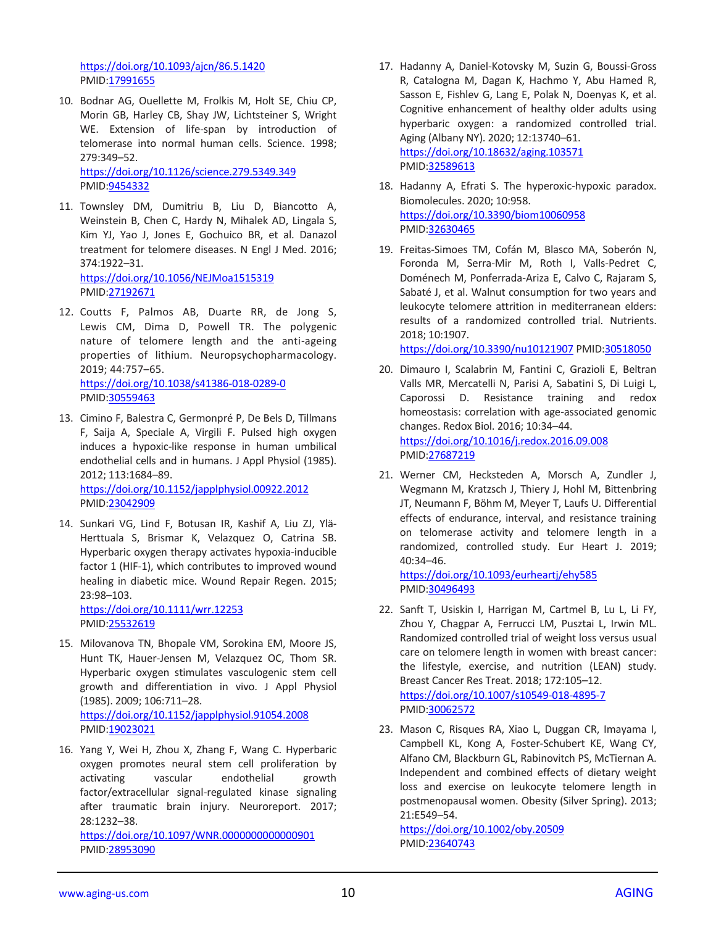<https://doi.org/10.1093/ajcn/86.5.1420> PMID[:17991655](https://pubmed.ncbi.nlm.nih.gov/17991655)

10. Bodnar AG, Ouellette M, Frolkis M, Holt SE, Chiu CP, Morin GB, Harley CB, Shay JW, Lichtsteiner S, Wright WE. Extension of life-span by introduction of telomerase into normal human cells. Science. 1998; 279:349–52. <https://doi.org/10.1126/science.279.5349.349>

PMID[:9454332](https://pubmed.ncbi.nlm.nih.gov/9454332)

- 11. Townsley DM, Dumitriu B, Liu D, Biancotto A, Weinstein B, Chen C, Hardy N, Mihalek AD, Lingala S, Kim YJ, Yao J, Jones E, Gochuico BR, et al. Danazol treatment for telomere diseases. N Engl J Med. 2016; 374:1922–31. <https://doi.org/10.1056/NEJMoa1515319> PMID[:27192671](https://pubmed.ncbi.nlm.nih.gov/27192671)
- 12. Coutts F, Palmos AB, Duarte RR, de Jong S, Lewis CM, Dima D, Powell TR. The polygenic nature of telomere length and the anti-ageing properties of lithium. Neuropsychopharmacology. 2019; 44:757–65. <https://doi.org/10.1038/s41386-018-0289-0> PMID[:30559463](https://pubmed.ncbi.nlm.nih.gov/30559463)
- 13. Cimino F, Balestra C, Germonpré P, De Bels D, Tillmans F, Saija A, Speciale A, Virgili F. Pulsed high oxygen induces a hypoxic-like response in human umbilical endothelial cells and in humans. J Appl Physiol (1985). 2012; 113:1684–89. <https://doi.org/10.1152/japplphysiol.00922.2012> PMID[:23042909](https://pubmed.ncbi.nlm.nih.gov/23042909)
- 14. Sunkari VG, Lind F, Botusan IR, Kashif A, Liu ZJ, Ylä-Herttuala S, Brismar K, Velazquez O, Catrina SB. Hyperbaric oxygen therapy activates hypoxia-inducible factor 1 (HIF-1), which contributes to improved wound healing in diabetic mice. Wound Repair Regen. 2015; 23:98–103.

<https://doi.org/10.1111/wrr.12253> PMID[:25532619](https://pubmed.ncbi.nlm.nih.gov/25532619)

- 15. Milovanova TN, Bhopale VM, Sorokina EM, Moore JS, Hunt TK, Hauer-Jensen M, Velazquez OC, Thom SR. Hyperbaric oxygen stimulates vasculogenic stem cell growth and differentiation in vivo. J Appl Physiol (1985). 2009; 106:711–28. <https://doi.org/10.1152/japplphysiol.91054.2008> PMID[:19023021](https://pubmed.ncbi.nlm.nih.gov/19023021)
- 16. Yang Y, Wei H, Zhou X, Zhang F, Wang C. Hyperbaric oxygen promotes neural stem cell proliferation by activating vascular endothelial growth factor/extracellular signal-regulated kinase signaling after traumatic brain injury. Neuroreport. 2017; 28:1232–38.

<https://doi.org/10.1097/WNR.0000000000000901> PMID[:28953090](https://pubmed.ncbi.nlm.nih.gov/28953090)

- 17. Hadanny A, Daniel-Kotovsky M, Suzin G, Boussi-Gross R, Catalogna M, Dagan K, Hachmo Y, Abu Hamed R, Sasson E, Fishlev G, Lang E, Polak N, Doenyas K, et al. Cognitive enhancement of healthy older adults using hyperbaric oxygen: a randomized controlled trial. Aging (Albany NY). 2020; 12:13740–61. <https://doi.org/10.18632/aging.103571> PMI[D:32589613](https://pubmed.ncbi.nlm.nih.gov/32589613)
- 18. Hadanny A, Efrati S. The hyperoxic-hypoxic paradox. Biomolecules. 2020; 10:958. <https://doi.org/10.3390/biom10060958> PMI[D:32630465](https://pubmed.ncbi.nlm.nih.gov/32630465)
- 19. Freitas-Simoes TM, Cofán M, Blasco MA, Soberón N, Foronda M, Serra-Mir M, Roth I, Valls-Pedret C, Doménech M, Ponferrada-Ariza E, Calvo C, Rajaram S, Sabaté J, et al. Walnut consumption for two years and leukocyte telomere attrition in mediterranean elders: results of a randomized controlled trial. Nutrients. 2018; 10:1907.

<https://doi.org/10.3390/nu10121907> PMID[:30518050](https://pubmed.ncbi.nlm.nih.gov/30518050)

- 20. Dimauro I, Scalabrin M, Fantini C, Grazioli E, Beltran Valls MR, Mercatelli N, Parisi A, Sabatini S, Di Luigi L, Caporossi D. Resistance training and redox homeostasis: correlation with age-associated genomic changes. Redox Biol. 2016; 10:34–44. <https://doi.org/10.1016/j.redox.2016.09.008> PMI[D:27687219](https://pubmed.ncbi.nlm.nih.gov/27687219)
- 21. Werner CM, Hecksteden A, Morsch A, Zundler J, Wegmann M, Kratzsch J, Thiery J, Hohl M, Bittenbring JT, Neumann F, Böhm M, Meyer T, Laufs U. Differential effects of endurance, interval, and resistance training on telomerase activity and telomere length in a randomized, controlled study. Eur Heart J. 2019; 40:34–46.

<https://doi.org/10.1093/eurheartj/ehy585> PMI[D:30496493](https://pubmed.ncbi.nlm.nih.gov/30496493)

- 22. Sanft T, Usiskin I, Harrigan M, Cartmel B, Lu L, Li FY, Zhou Y, Chagpar A, Ferrucci LM, Pusztai L, Irwin ML. Randomized controlled trial of weight loss versus usual care on telomere length in women with breast cancer: the lifestyle, exercise, and nutrition (LEAN) study. Breast Cancer Res Treat. 2018; 172:105–12. <https://doi.org/10.1007/s10549-018-4895-7> PMI[D:30062572](https://pubmed.ncbi.nlm.nih.gov/30062572)
- 23. Mason C, Risques RA, Xiao L, Duggan CR, Imayama I, Campbell KL, Kong A, Foster-Schubert KE, Wang CY, Alfano CM, Blackburn GL, Rabinovitch PS, McTiernan A. Independent and combined effects of dietary weight loss and exercise on leukocyte telomere length in postmenopausal women. Obesity (Silver Spring). 2013; 21:E549–54.

<https://doi.org/10.1002/oby.20509> PMI[D:23640743](https://pubmed.ncbi.nlm.nih.gov/23640743)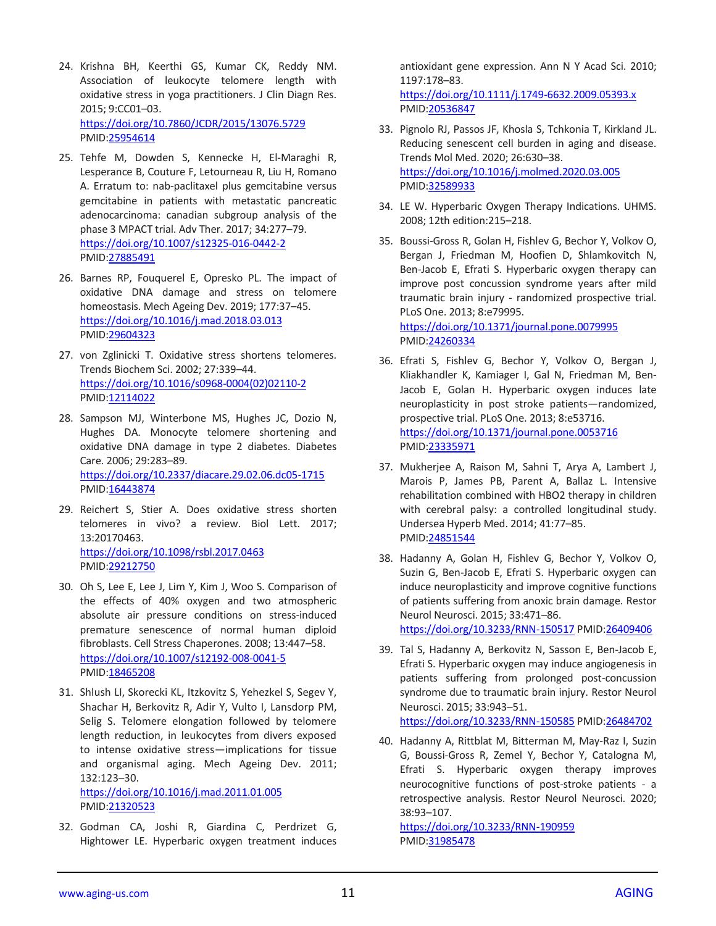- 24. Krishna BH, Keerthi GS, Kumar CK, Reddy NM. Association of leukocyte telomere length with oxidative stress in yoga practitioners. J Clin Diagn Res. 2015; 9:CC01–03. <https://doi.org/10.7860/JCDR/2015/13076.5729> PMID[:25954614](https://pubmed.ncbi.nlm.nih.gov/25954614)
- 25. Tehfe M, Dowden S, Kennecke H, El-Maraghi R, Lesperance B, Couture F, Letourneau R, Liu H, Romano A. Erratum to: nab-paclitaxel plus gemcitabine versus gemcitabine in patients with metastatic pancreatic adenocarcinoma: canadian subgroup analysis of the phase 3 MPACT trial. Adv Ther. 2017; 34:277–79. <https://doi.org/10.1007/s12325-016-0442-2> PMID[:27885491](https://pubmed.ncbi.nlm.nih.gov/27885491)
- 26. Barnes RP, Fouquerel E, Opresko PL. The impact of oxidative DNA damage and stress on telomere homeostasis. Mech Ageing Dev. 2019; 177:37–45. <https://doi.org/10.1016/j.mad.2018.03.013> PMID[:29604323](https://pubmed.ncbi.nlm.nih.gov/29604323)
- 27. von Zglinicki T. Oxidative stress shortens telomeres. Trends Biochem Sci. 2002; 27:339–44. [https://doi.org/10.1016/s0968-0004\(02\)02110-2](https://doi.org/10.1016/s0968-0004(02)02110-2) PMID[:12114022](https://pubmed.ncbi.nlm.nih.gov/12114022)
- 28. Sampson MJ, Winterbone MS, Hughes JC, Dozio N, Hughes DA. Monocyte telomere shortening and oxidative DNA damage in type 2 diabetes. Diabetes Care. 2006; 29:283–89. <https://doi.org/10.2337/diacare.29.02.06.dc05-1715> PMID[:16443874](https://pubmed.ncbi.nlm.nih.gov/16443874)
- 29. Reichert S, Stier A. Does oxidative stress shorten telomeres in vivo? a review. Biol Lett. 2017; 13:20170463. <https://doi.org/10.1098/rsbl.2017.0463> PMID[:29212750](https://pubmed.ncbi.nlm.nih.gov/29212750)
- 30. Oh S, Lee E, Lee J, Lim Y, Kim J, Woo S. Comparison of the effects of 40% oxygen and two atmospheric absolute air pressure conditions on stress-induced premature senescence of normal human diploid fibroblasts. Cell Stress Chaperones. 2008; 13:447–58. <https://doi.org/10.1007/s12192-008-0041-5> PMID[:18465208](https://pubmed.ncbi.nlm.nih.gov/18465208)
- 31. Shlush LI, Skorecki KL, Itzkovitz S, Yehezkel S, Segev Y, Shachar H, Berkovitz R, Adir Y, Vulto I, Lansdorp PM, Selig S. Telomere elongation followed by telomere length reduction, in leukocytes from divers exposed to intense oxidative stress—implications for tissue and organismal aging. Mech Ageing Dev. 2011; 132:123–30. <https://doi.org/10.1016/j.mad.2011.01.005>

PMID[:21320523](https://pubmed.ncbi.nlm.nih.gov/21320523)

32. Godman CA, Joshi R, Giardina C, Perdrizet G, Hightower LE. Hyperbaric oxygen treatment induces

antioxidant gene expression. Ann N Y Acad Sci. 2010; 1197:178–83. <https://doi.org/10.1111/j.1749-6632.2009.05393.x> PMI[D:20536847](https://pubmed.ncbi.nlm.nih.gov/20536847)

- 33. Pignolo RJ, Passos JF, Khosla S, Tchkonia T, Kirkland JL. Reducing senescent cell burden in aging and disease. Trends Mol Med. 2020; 26:630–38. <https://doi.org/10.1016/j.molmed.2020.03.005> PMI[D:32589933](https://pubmed.ncbi.nlm.nih.gov/32589933)
- 34. LE W. Hyperbaric Oxygen Therapy Indications. UHMS. 2008; 12th edition:215–218.
- 35. Boussi-Gross R, Golan H, Fishlev G, Bechor Y, Volkov O, Bergan J, Friedman M, Hoofien D, Shlamkovitch N, Ben-Jacob E, Efrati S. Hyperbaric oxygen therapy can improve post concussion syndrome years after mild traumatic brain injury - randomized prospective trial. PLoS One. 2013; 8:e79995. <https://doi.org/10.1371/journal.pone.0079995> PMI[D:24260334](https://pubmed.ncbi.nlm.nih.gov/24260334)

36. Efrati S, Fishlev G, Bechor Y, Volkov O, Bergan J, Kliakhandler K, Kamiager I, Gal N, Friedman M, Ben-Jacob E, Golan H. Hyperbaric oxygen induces late neuroplasticity in post stroke patients—randomized, prospective trial. PLoS One. 2013; 8:e53716. <https://doi.org/10.1371/journal.pone.0053716> PMI[D:23335971](https://pubmed.ncbi.nlm.nih.gov/23335971)

- 37. Mukherjee A, Raison M, Sahni T, Arya A, Lambert J, Marois P, James PB, Parent A, Ballaz L. Intensive rehabilitation combined with HBO2 therapy in children with cerebral palsy: a controlled longitudinal study. Undersea Hyperb Med. 2014; 41:77–85. PMI[D:24851544](https://pubmed.ncbi.nlm.nih.gov/24851544)
- 38. Hadanny A, Golan H, Fishlev G, Bechor Y, Volkov O, Suzin G, Ben-Jacob E, Efrati S. Hyperbaric oxygen can induce neuroplasticity and improve cognitive functions of patients suffering from anoxic brain damage. Restor Neurol Neurosci. 2015; 33:471–86. <https://doi.org/10.3233/RNN-150517> PMID[:26409406](https://pubmed.ncbi.nlm.nih.gov/26409406)
- 39. Tal S, Hadanny A, Berkovitz N, Sasson E, Ben-Jacob E, Efrati S. Hyperbaric oxygen may induce angiogenesis in patients suffering from prolonged post-concussion syndrome due to traumatic brain injury. Restor Neurol Neurosci. 2015; 33:943–51. <https://doi.org/10.3233/RNN-150585> PMID[:26484702](https://pubmed.ncbi.nlm.nih.gov/26484702)
- 40. Hadanny A, Rittblat M, Bitterman M, May-Raz I, Suzin G, Boussi-Gross R, Zemel Y, Bechor Y, Catalogna M, Efrati S. Hyperbaric oxygen therapy improves neurocognitive functions of post-stroke patients - a retrospective analysis. Restor Neurol Neurosci. 2020; 38:93–107.

<https://doi.org/10.3233/RNN-190959> PMI[D:31985478](https://pubmed.ncbi.nlm.nih.gov/31985478)